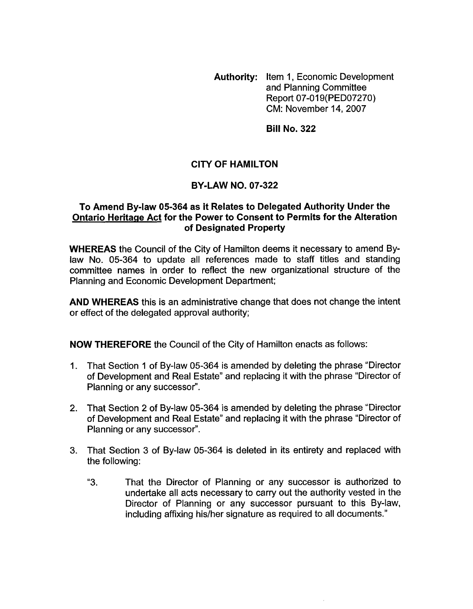**Authority: Item 1, Economic Development** and Planning Committee Report 07-019(PED07270) CM: November 14,2007

**Bill No. 322** 

## **CITY OF HAMILTON**

## **BY-LAW NO. 07-322**

## **To Amend By-law 05-364 as it Relates to Delegated Authority Under the Ontario Heritage Act for the Power to Consent to Permits for the Alteration of Designated Property**

**WHEREAS** the Council of the City of Hamilton deems it necessary to amend Bylaw No. 05-364 to update all references made to staff titles and standing committee names in order to reflect the new organizational structure of the Planning and Economic Development Department;

**AND WHEREAS** this is an administrative change that does not change the intent or effect of the delegated approval authority;

**NOW THEREFORE** the Council of the City of Hamilton enacts as follows:

- 1. That Section 1 of By-law 05-364 is amended by deleting the phrase "Director of Development and Real Estate" and replacing it with the phrase "Director of Planning or any successor".
- 2. That Section 2 **of** By-law 05-364 is amended by deleting the phrase "Director of Development and Real Estate" and replacing it with the phrase "Director of Planning or any successor".
- 3. That Section 3 of By-law 05-364 is deleted in its entirety and replaced with the following:
	- "3. That the Director of Planning or any successor is authorized to undertake all acts necessary to carry out the authority vested in the Director of Planning or any successor pursuant to this By-law, including affixing his/her signature as required to all documents."